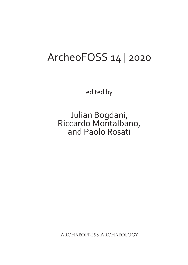## ArcheoFOSS 14 | 2020

edited by

Julian Bogdani, Riccardo Montalbano, and Paolo Rosati

Archaeopress Archaeology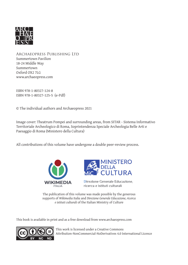

Archaeopress Publishing Ltd Summertown Pavilion 18-24 Middle Way Summertown Oxford OX2 7LG www.archaeopress.com

ISBN 978-1-80327-124-8 ISBN 978-1-80327-125-5 (e-Pdf)

© The individual authors and Archaeopress 2021

Image cover: Theatrum Pompei and surrounding areas, from SITAR - Sistema Informativo Territoriale Archeologico di Roma, Soprintendenza Speciale Archeologia Belle Arti e Paesaggio di Roma (Ministero della Cultura)

All contributions of this volume have undergone a double peer-review process.





Direzione Generale Educazione. ricerca e istituti culturali

The publication of this volume was made possible by the generous supports of *Wikimedia Italia* and *Direzione Generale Educazione, ricerca e istituti culturali* of the Italian Ministry of Culture

This book is available in print and as a free download from www.archaeopress.com



This work is licensed under a Creative Commons Attribution-NonCommercial-NoDerivatives 4.0 International Licence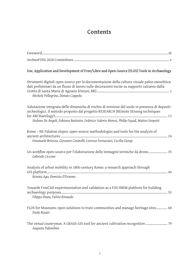## **Contents**

| Use, Application and Development of Free/Libre and Open-Source (FLOS) Tools in Archaeology                                                                                                                                                                                          |
|-------------------------------------------------------------------------------------------------------------------------------------------------------------------------------------------------------------------------------------------------------------------------------------|
| Strumenti digitali open-source per la documentazione della cultura visuale paleo-mesolitica:<br>dati preliminari da un flusso di lavoro sulle decorazioni incise su supporto calcareo dalla<br>Michele Pellegrino, Donato Coppola                                                   |
| Valutazione integrata delle dinamiche di rischio di erosione del suolo in presenza di depositi<br>archeologici. Il metodo proposto dal progetto RESEARCH (REmote SEnsing techniques<br>Stefano De Angeli, Fabiana Battistin, Federico Valerio Moresi, Philip Fayad, Matteo Serpetti |
| Rome - NE Palatine slopes: open-source methodologies and tools for the analysis of<br>Emanuele Brienza, Giovanni Caratelli, Lorenzo Fornaciari, Cecilia Giorgi                                                                                                                      |
| Un workflow open-source per l'elaborazione delle immagini termiche da drone 35<br>Gabriele Ciccone                                                                                                                                                                                  |
| Analysis of urban mobility in 18th-century Rome: a research approach through<br>Renata Ago, Domizia D'Erasmo                                                                                                                                                                        |
| Towards FreeCAD experimentation and validation as a FOS HBIM platform for building<br>Filippo Diara, Fulvio Rinaudo                                                                                                                                                                 |
| FLOS for Museums: open solutions to train communities and manage heritage sites 68<br>Paolo Rosati                                                                                                                                                                                  |
| The virtual countryman. A GRASS-GIS tool for ancient cultivation recognition  79<br>Augusto Palombini                                                                                                                                                                               |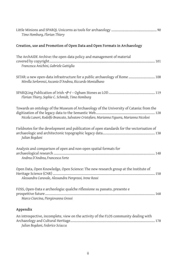| Timo Homburg, Florian Thiery                                                                                                                                                          |
|---------------------------------------------------------------------------------------------------------------------------------------------------------------------------------------|
| Creation, use and Promotion of Open Data and Open Formats in Archaeology                                                                                                              |
| The ArchAIDE Archive: the open-data policy and management of material<br>Francesca Anichini, Gabriele Gattiglia                                                                       |
| SITAR: a new open-data infrastructure for a public archaeology of Rome  108<br>Mirella Serlorenzi, Ascanio D'Andrea, Riccardo Montalbano                                              |
| Florian Thiery, Sophie C. Schmidt, Timo Homburg                                                                                                                                       |
| Towards an ontology of the Museum of Archaeology of the University of Catania: from the<br>Nicola Laneri, Rodolfo Brancato, Salvatore Cristofaro, Marianna Figuera, Marianna Nicolosi |
| Fieldnotes for the development and publication of open standards for the vectorisation of<br>Julian Bogdani                                                                           |
| Analysis and comparison of open and non-open spatial formats for<br>Andrea D'Andrea, Francesca Forte                                                                                  |
| Open Data, Open Knowledge, Open Science: The new research group at the Institute of<br>Alessandra Caravale, Alessandra Piergrossi, Irene Rossi                                        |
| FOSS, Open-Data e archeologia: qualche riflessione su passato, presente e<br>Marco Ciurcina, Piergiovanna Grossi                                                                      |
| Appendix                                                                                                                                                                              |
| An introspective, incomplete, view on the activity of the FLOS community dealing with<br>Julian Bogdani, Federico Sciacca                                                             |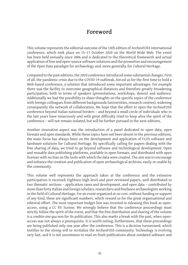## **Foreword**

This volume represents the editorial outcome of the 14th edition of ArcheoFOSS international conference, which took place on 15–17 October 2020 on the World Wide Web. The event has been held annually since 2006 and is dedicated to the theoretical framework and actual application of free and open-source software solutions and the promotion and encouragement of the Open Data paradigm for archaeology and, more generally, for Cultural Heritage.

Compared to the past editions, the 2020 conference introduced some substantial changes. First of all, the pandemic crisis due to the COVID-19 outbreak, forced us for the first time to hold a Web-based conference, a solution that introduced some important advantages. For example there was the facility to overcome geographical distances and therefore greatly broadening participation, both in terms of speakers (presentations, workshops, demos) and audience. Additionally we had the possibility to share thoughts on the specific topics of the conference with foreign colleagues from different backgrounds (universities, research centres), widening consequently the network of collaboration. We hope that the effort to open the ArcheoFOSS conference beyond Italian national borders – and beyond a small circle of individuals who in the last years have tenaciously and with great difficulty tried to keep alive the spirit of the conference – will not remain isolated, but will be further pursued in the next editions.

Another innovative aspect was the introduction of a panel dedicated to open data, open formats and open standards. While these topics have not been absent in the previous editions, the main focus has always been on the development and application of FLOS software and hardware solutions for Cultural Heritage. By specifically calling for papers dealing with the free sharing of data, we tried to go beyond software and technological development. Open and reusable data publishing platforms, available in open formats, and distributed with open licenses with no bias on the tools with which the data were created. The aim was to encourage and enhance the creation and publication of open archaeological archives, easily re-usable by the community.

This volume well represents the approach taken at the conference and the extensive participation it received. Eighteen high-level and peer-reviewed papers, well distributed in two thematic sections – application cases and development, and open data – contributed by more than forty Italian and foreign scholars, researchers and freelance archaeologists working in the field of Cultural Heritage. For an event organized at no cost, without funding or support of any kind, these are significant numbers, which reward us for the great organizational and editorial effort. The most important budget line was invested in releasing this book as openaccess, using a CC BY license. We strongly believe that the conference proceedings must strictly follow the spirit of the event, and that the free distribution and sharing of the volume is a *conditio sine qua* non for its publication. This also marks a break with the past, when openaccess was not always a prerequisite. It is worth noting, furthermore, that these proceedings are being published only one year after the conference. This is a decisive turnaround, which testifies to the strong will to revitalize the ArcheoFOSS community. Technology is evolving very fast, and it is not uncommon to read on fresh publications about outdated software and